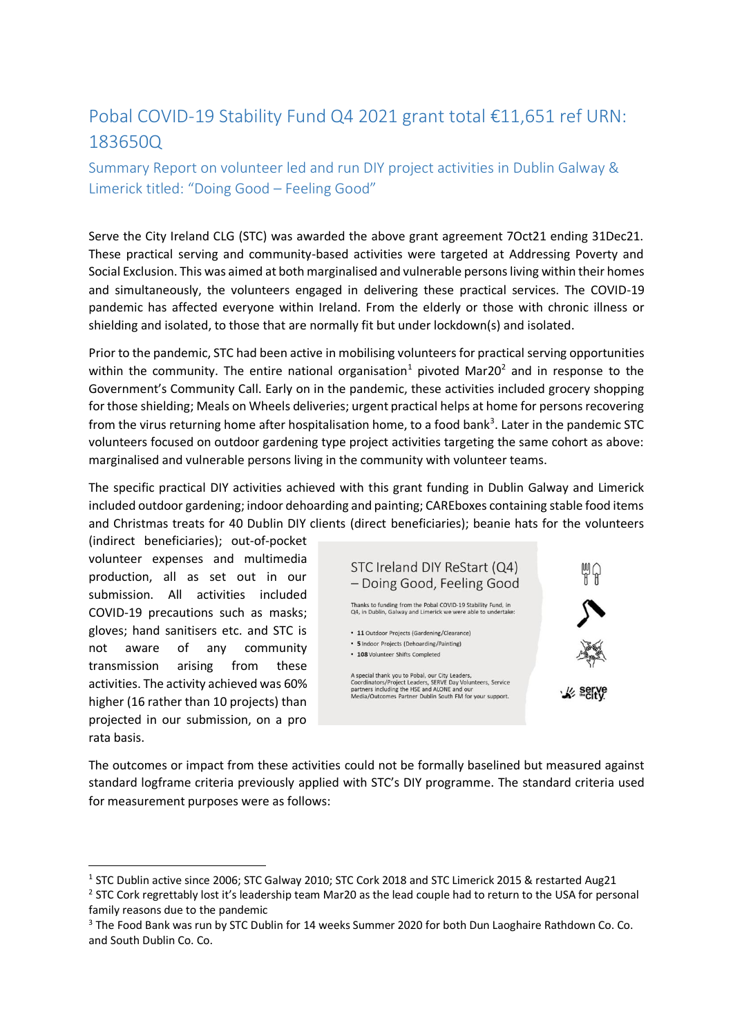# Pobal COVID-19 Stability Fund Q4 2021 grant total €11,651 ref URN: 183650Q

Summary Report on volunteer led and run DIY project activities in Dublin Galway & Limerick titled: "Doing Good – Feeling Good"

Serve the City Ireland CLG (STC) was awarded the above grant agreement 7Oct21 ending 31Dec21. These practical serving and community-based activities were targeted at Addressing Poverty and Social Exclusion. This was aimed at both marginalised and vulnerable persons living within their homes and simultaneously, the volunteers engaged in delivering these practical services. The COVID-19 pandemic has affected everyone within Ireland. From the elderly or those with chronic illness or shielding and isolated, to those that are normally fit but under lockdown(s) and isolated.

Prior to the pandemic, STC had been active in mobilising volunteers for practical serving opportunities within the community. The entire national organisation<sup>1</sup> pivoted Mar20<sup>2</sup> and in response to the Government's Community Call. Early on in the pandemic, these activities included grocery shopping for those shielding; Meals on Wheels deliveries; urgent practical helps at home for persons recovering from the virus returning home after hospitalisation home, to a food bank<sup>3</sup>. Later in the pandemic STC volunteers focused on outdoor gardening type project activities targeting the same cohort as above: marginalised and vulnerable persons living in the community with volunteer teams.

The specific practical DIY activities achieved with this grant funding in Dublin Galway and Limerick included outdoor gardening; indoor dehoarding and painting; CAREboxes containing stable food items and Christmas treats for 40 Dublin DIY clients (direct beneficiaries); beanie hats for the volunteers

(indirect beneficiaries); out-of-pocket volunteer expenses and multimedia production, all as set out in our submission. All activities included COVID-19 precautions such as masks; gloves; hand sanitisers etc. and STC is not aware of any community transmission arising from these activities. The activity achieved was 60% higher (16 rather than 10 projects) than projected in our submission, on a pro rata basis.

-



The outcomes or impact from these activities could not be formally baselined but measured against standard logframe criteria previously applied with STC's DIY programme. The standard criteria used for measurement purposes were as follows:

<sup>&</sup>lt;sup>1</sup> STC Dublin active since 2006; STC Galway 2010; STC Cork 2018 and STC Limerick 2015 & restarted Aug21

 $2$  STC Cork regrettably lost it's leadership team Mar20 as the lead couple had to return to the USA for personal family reasons due to the pandemic

<sup>&</sup>lt;sup>3</sup> The Food Bank was run by STC Dublin for 14 weeks Summer 2020 for both Dun Laoghaire Rathdown Co. Co. and South Dublin Co. Co.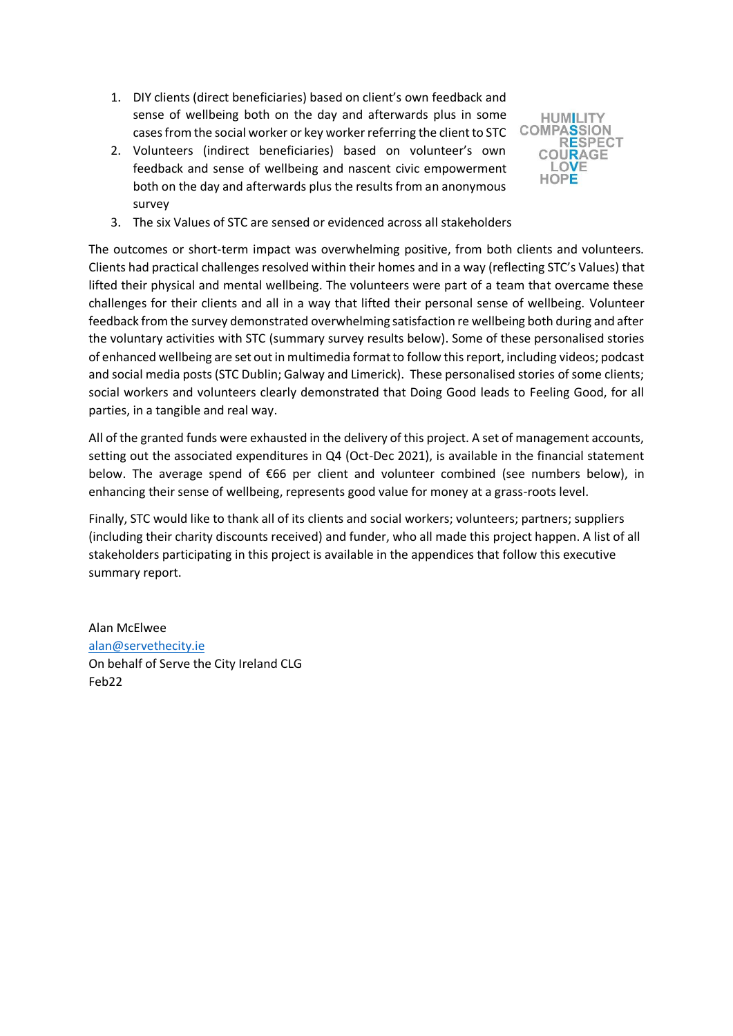- 1. DIY clients (direct beneficiaries) based on client's own feedback and sense of wellbeing both on the day and afterwards plus in some cases from the social worker or key worker referring the client to STC
- 2. Volunteers (indirect beneficiaries) based on volunteer's own feedback and sense of wellbeing and nascent civic empowerment both on the day and afterwards plus the results from an anonymous survey



3. The six Values of STC are sensed or evidenced across all stakeholders

The outcomes or short-term impact was overwhelming positive, from both clients and volunteers. Clients had practical challenges resolved within their homes and in a way (reflecting STC's Values) that lifted their physical and mental wellbeing. The volunteers were part of a team that overcame these challenges for their clients and all in a way that lifted their personal sense of wellbeing. Volunteer feedback from the survey demonstrated overwhelming satisfaction re wellbeing both during and after the voluntary activities with STC (summary survey results below). Some of these personalised stories of enhanced wellbeing are set out in multimedia format to follow this report, including videos; podcast and social media posts (STC Dublin; Galway and Limerick). These personalised stories of some clients; social workers and volunteers clearly demonstrated that Doing Good leads to Feeling Good, for all parties, in a tangible and real way.

All of the granted funds were exhausted in the delivery of this project. A set of management accounts, setting out the associated expenditures in Q4 (Oct-Dec 2021), is available in the financial statement below. The average spend of €66 per client and volunteer combined (see numbers below), in enhancing their sense of wellbeing, represents good value for money at a grass-roots level.

Finally, STC would like to thank all of its clients and social workers; volunteers; partners; suppliers (including their charity discounts received) and funder, who all made this project happen. A list of all stakeholders participating in this project is available in the appendices that follow this executive summary report.

Alan McElwee [alan@servethecity.ie](mailto:alan@servethecity.ie) On behalf of Serve the City Ireland CLG Feb22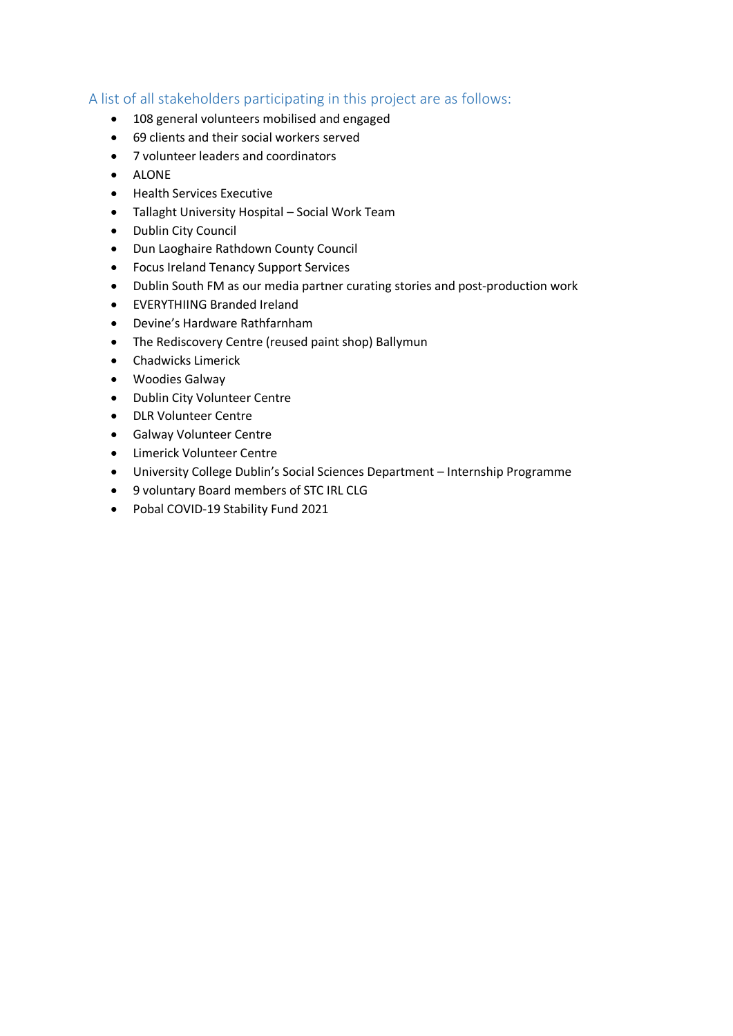### A list of all stakeholders participating in this project are as follows:

- 108 general volunteers mobilised and engaged
- 69 clients and their social workers served
- 7 volunteer leaders and coordinators
- ALONE
- Health Services Executive
- Tallaght University Hospital Social Work Team
- Dublin City Council
- Dun Laoghaire Rathdown County Council
- Focus Ireland Tenancy Support Services
- Dublin South FM as our media partner curating stories and post-production work
- EVERYTHIING Branded Ireland
- Devine's Hardware Rathfarnham
- The Rediscovery Centre (reused paint shop) Ballymun
- Chadwicks Limerick
- Woodies Galway
- Dublin City Volunteer Centre
- DLR Volunteer Centre
- Galway Volunteer Centre
- Limerick Volunteer Centre
- University College Dublin's Social Sciences Department Internship Programme
- 9 voluntary Board members of STC IRL CLG
- Pobal COVID-19 Stability Fund 2021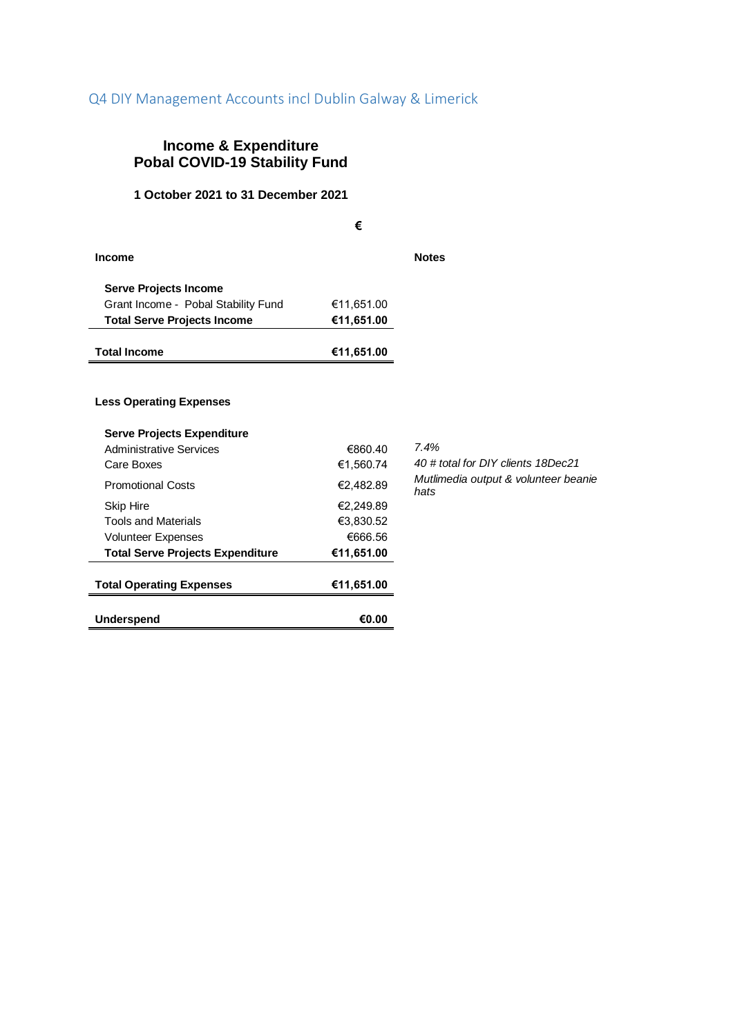## Q4 DIY Management Accounts incl Dublin Galway & Limerick

# **Income & Expenditure Pobal COVID-19 Stability Fund**

#### **1 October 2021 to 31 December 2021**

**€ Income Notes Serve Projects Income** Grant Income - Pobal Stability Fund €11,651.00  **Total Serve Projects Income €11,651.00 Total Income €11,651.00**

#### **Less Operating Expenses**

| <b>Underspend</b>                                            | €0.00      |                                              |
|--------------------------------------------------------------|------------|----------------------------------------------|
| <b>Total Operating Expenses</b>                              | €11,651.00 |                                              |
| <b>Total Serve Projects Expenditure</b>                      | €11,651.00 |                                              |
| <b>Volunteer Expenses</b>                                    | €666.56    |                                              |
| <b>Tools and Materials</b>                                   | €3.830.52  |                                              |
| Skip Hire                                                    | €2.249.89  |                                              |
| <b>Promotional Costs</b>                                     | €2,482.89  | Mutlimedia output & volunteer beanie<br>hats |
| Care Boxes                                                   | €1.560.74  | 40 # total for DIY clients 18Dec21           |
| <b>Serve Projects Expenditure</b><br>Administrative Services | €860.40    | 7.4%                                         |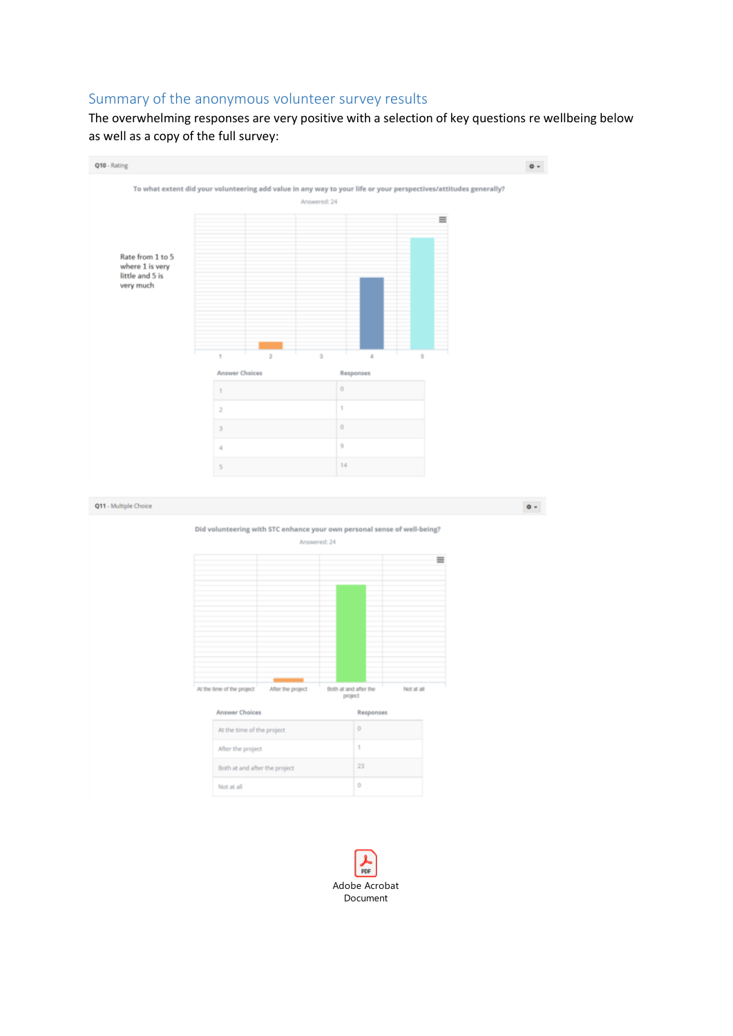### Summary of the anonymous volunteer survey results

The overwhelming responses are very positive with a selection of key questions re wellbeing below as well as a copy of the full survey:



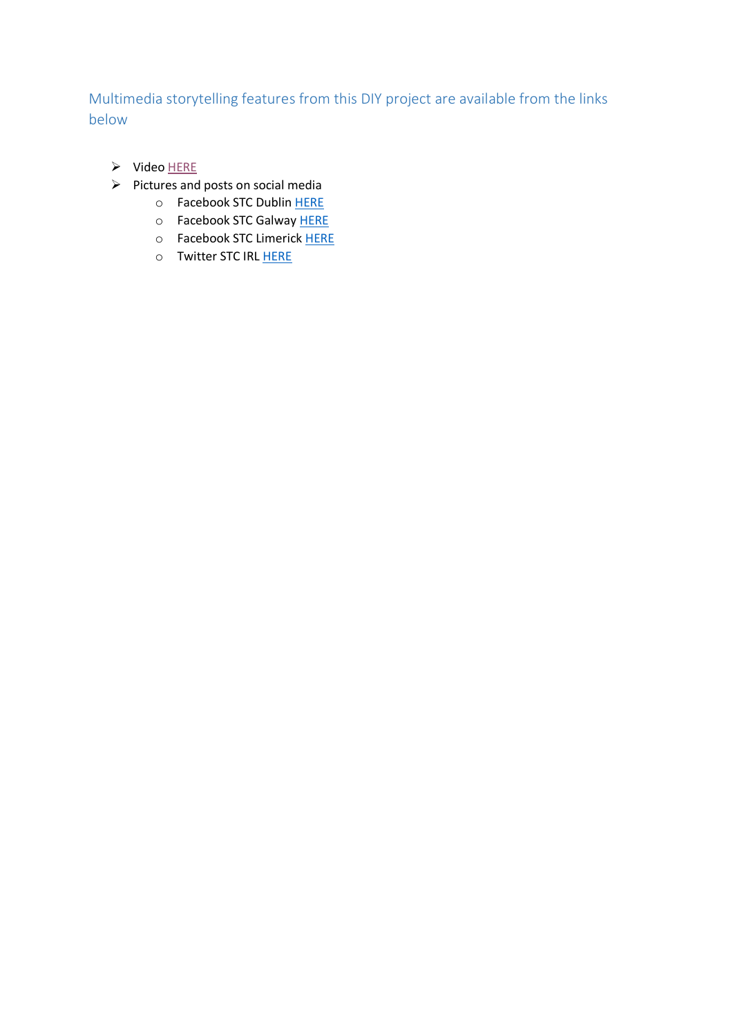# Multimedia storytelling features from this DIY project are available from the links below

- $\triangleright$  Video [HERE](https://youtu.be/XHRoiofjYYA)
- $\triangleright$  Pictures and posts on social media
	- o Facebook STC Dublin [HERE](https://www.facebook.com/stcdublin/)
	- o Facebook STC Galway [HERE](https://www.facebook.com/ServetheCityGalway)
	- o Facebook STC Limerick [HERE](https://www.facebook.com/stclimerick)
	- o Twitter STC IR[L HERE](https://twitter.com/servethecityirl)